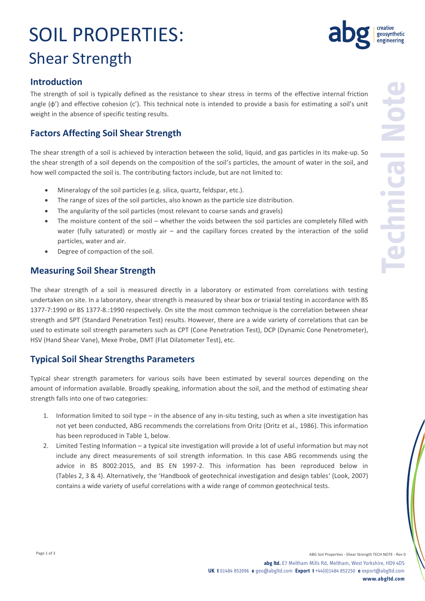# SOIL PROPERTIES: Shear Strength



### **Introduction**

The strength of soil is typically defined as the resistance to shear stress in terms of the effective internal friction angle (φ') and effective cohesion (c'). This technical note is intended to provide a basis for estimating a soil's unit weight in the absence of specific testing results.

## **Factors Affecting Soil Shear Strength**

The shear strength of a soil is achieved by interaction between the solid, liquid, and gas particles in its make-up. So the shear strength of a soil depends on the composition of the soil's particles, the amount of water in the soil, and how well compacted the soil is. The contributing factors include, but are not limited to:

- Mineralogy of the soil particles (e.g. silica, quartz, feldspar, etc.).
- The range of sizes of the soil particles, also known as the particle size distribution.
- The angularity of the soil particles (most relevant to coarse sands and gravels)
- The moisture content of the soil whether the voids between the soil particles are completely filled with water (fully saturated) or mostly air – and the capillary forces created by the interaction of the solid particles, water and air.
- Degree of compaction of the soil.

### **Measuring Soil Shear Strength**

The shear strength of a soil is measured directly in a laboratory or estimated from correlations with testing undertaken on site. In a laboratory, shear strength is measured by shear box or triaxial testing in accordance with BS 1377-7:1990 or BS 1377-8.:1990 respectively. On site the most common technique is the correlation between shear strength and SPT (Standard Penetration Test) results. However, there are a wide variety of correlations that can be used to estimate soil strength parameters such as CPT (Cone Penetration Test), DCP (Dynamic Cone Penetrometer), HSV (Hand Shear Vane), Mexe Probe, DMT (Flat Dilatometer Test), etc.

## **Typical Soil Shear Strengths Parameters**

Typical shear strength parameters for various soils have been estimated by several sources depending on the amount of information available. Broadly speaking, information about the soil, and the method of estimating shear strength falls into one of two categories:

- 1. Information limited to soil type in the absence of any in-situ testing, such as when a site investigation has not yet been conducted, ABG recommends the correlations from Oritz (Oritz et al., 1986). This information has been reproduced in Table 1, below.
- 2. Limited Testing Information a typical site investigation will provide a lot of useful information but may not include any direct measurements of soil strength information. In this case ABG recommends using the advice in BS 8002:2015, and BS EN 1997-2. This information has been reproduced below in (Tables 2, 3 & 4). Alternatively, the 'Handbook of geotechnical investigation and design tables' (Look, 2007) contains a wide variety of useful correlations with a wide range of common geotechnical tests.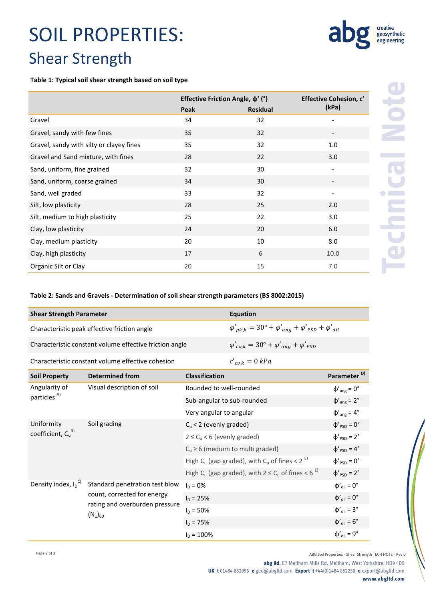## SOIL PROPERTIES: Shear Strength

#### **Table 1: Typical soil shear strength based on soil type**

|                                          | Effective Friction Angle, $\varphi'$ (°) |                 | Effective Cohesion, c'   |  |
|------------------------------------------|------------------------------------------|-----------------|--------------------------|--|
|                                          | Peak                                     | <b>Residual</b> | (kPa)                    |  |
| Gravel                                   | 34                                       | 32              |                          |  |
| Gravel, sandy with few fines             | 35                                       | 32              |                          |  |
| Gravel, sandy with silty or clayey fines | 35                                       | 32              | 1.0                      |  |
| Gravel and Sand mixture, with fines      | 28                                       | 22              | 3.0                      |  |
| Sand, uniform, fine grained              | 32                                       | 30              |                          |  |
| Sand, uniform, coarse grained            | 34                                       | 30              |                          |  |
| Sand, well graded                        | 33                                       | 32              | $\overline{\phantom{a}}$ |  |
| Silt, low plasticity                     | 28                                       | 25              | 2.0                      |  |
| Silt, medium to high plasticity          | 25                                       | 22              | 3.0                      |  |
| Clay, low plasticity                     | 24                                       | 20              | 6.0                      |  |
| Clay, medium plasticity                  | 20                                       | 10              | 8.0                      |  |
| Clay, high plasticity                    | 17                                       | 6               | 10.0                     |  |
| Organic Silt or Clay                     | 20                                       | 15              | 7.0                      |  |

#### **Table 2: Sands and Gravels - Determination of soil shear strength parameters (BS 8002:2015)**

| <b>Shear Strength Parameter</b>                         | Equation                                                                        |
|---------------------------------------------------------|---------------------------------------------------------------------------------|
| Characteristic peak effective friction angle            | $\varphi'_{pk,k} = 30^\circ + \varphi'_{ang} + \varphi'_{PSD} + \varphi'_{dil}$ |
| Characteristic constant volume effective friction angle | $\varphi'_{cv.k} = 30^\circ + \varphi'_{ang} + \varphi'_{PSD}$                  |
| Characteristic constant volume effective cohesion       | $c'_{cv,k} = 0 kPa$                                                             |

| <b>Soil Property</b>                                                                                                                      | <b>Determined from</b>     | <b>Classification</b>                                                            | Parameter <sup>D)</sup>          |
|-------------------------------------------------------------------------------------------------------------------------------------------|----------------------------|----------------------------------------------------------------------------------|----------------------------------|
| Angularity of<br>particles <sup>A)</sup>                                                                                                  | Visual description of soil | Rounded to well-rounded                                                          | $\phi'_{\text{ang}} = 0^{\circ}$ |
|                                                                                                                                           |                            | Sub-angular to sub-rounded                                                       | $\phi'_{\text{ang}} = 2^{\circ}$ |
|                                                                                                                                           |                            | Very angular to angular                                                          | $\phi'_{\text{ang}} = 4^{\circ}$ |
| Uniformity<br>Soil grading<br>coefficient, $C_{u}^{B}$                                                                                    |                            | $C_u$ < 2 (evenly graded)                                                        | $\Phi'_{PSD} = 0^\circ$          |
|                                                                                                                                           |                            | $2 \leq C_{u}$ < 6 (evenly graded)                                               | $\Phi'_{PSD} = 2^{\circ}$        |
|                                                                                                                                           |                            | $C_u \geq 6$ (medium to multi graded)                                            | $\Phi'_{PSD} = 4^{\circ}$        |
|                                                                                                                                           |                            | High C <sub>u</sub> (gap graded), with C <sub>u</sub> of fines < 2 <sup>E)</sup> | $\Phi'_{PSD} = 0^\circ$          |
|                                                                                                                                           |                            | High C <sub>u</sub> (gap graded), with $2 \le C_u$ of fines < 6 <sup>E</sup> )   | $\Phi'_{PSD} = 2^{\circ}$        |
| Density index, $I_D^C$<br>Standard penetration test blow<br>count, corrected for energy<br>rating and overburden pressure<br>$(N_1)_{60}$ | $I_{D} = 0\%$              | $\Phi'_{\text{dil}} = 0^{\circ}$                                                 |                                  |
|                                                                                                                                           |                            | $I_D = 25%$                                                                      | $\Phi'_{\text{dil}} = 0^{\circ}$ |
|                                                                                                                                           |                            | $I_D = 50\%$                                                                     | $\Phi'_{\text{dil}} = 3^{\circ}$ |
|                                                                                                                                           |                            | $I_n = 75%$                                                                      | $\phi'_{\text{dil}} = 6^{\circ}$ |
|                                                                                                                                           |                            | $I_{D} = 100\%$                                                                  | $\Phi'_{\text{dil}} = 9^{\circ}$ |

creative<br>geosynthetic<br>engineering

ab